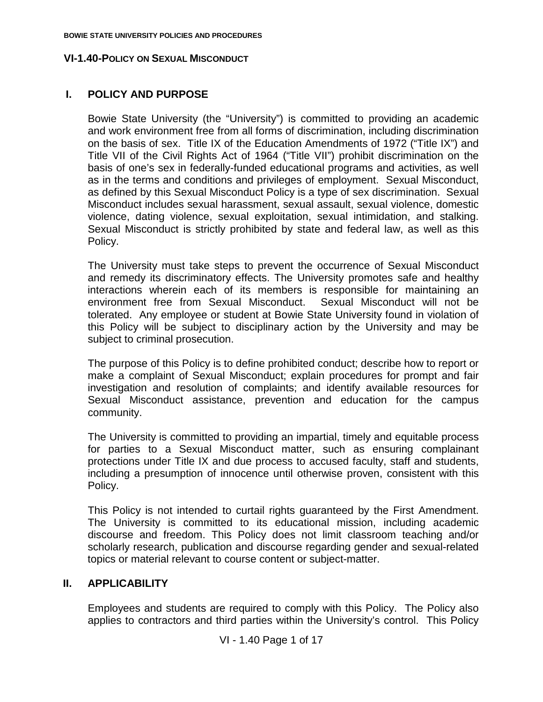## **I. POLICY AND PURPOSE**

Bowie State University (the "University") is committed to providing an academic and work environment free from all forms of discrimination, including discrimination on the basis of sex. Title IX of the Education Amendments of 1972 ("Title IX") and Title VII of the Civil Rights Act of 1964 ("Title VII") prohibit discrimination on the basis of one's sex in federally-funded educational programs and activities, as well as in the terms and conditions and privileges of employment. Sexual Misconduct, as defined by this Sexual Misconduct Policy is a type of sex discrimination. Sexual Misconduct includes sexual harassment, sexual assault, sexual violence, domestic violence, dating violence, sexual exploitation, sexual intimidation, and stalking. Sexual Misconduct is strictly prohibited by state and federal law, as well as this Policy.

The University must take steps to prevent the occurrence of Sexual Misconduct and remedy its discriminatory effects. The University promotes safe and healthy interactions wherein each of its members is responsible for maintaining an environment free from Sexual Misconduct. Sexual Misconduct will not be tolerated. Any employee or student at Bowie State University found in violation of this Policy will be subject to disciplinary action by the University and may be subject to criminal prosecution.

The purpose of this Policy is to define prohibited conduct; describe how to report or make a complaint of Sexual Misconduct; explain procedures for prompt and fair investigation and resolution of complaints; and identify available resources for Sexual Misconduct assistance, prevention and education for the campus community.

The University is committed to providing an impartial, timely and equitable process for parties to a Sexual Misconduct matter, such as ensuring complainant protections under Title IX and due process to accused faculty, staff and students, including a presumption of innocence until otherwise proven, consistent with this Policy.

This Policy is not intended to curtail rights guaranteed by the First Amendment. The University is committed to its educational mission, including academic discourse and freedom. This Policy does not limit classroom teaching and/or scholarly research, publication and discourse regarding gender and sexual-related topics or material relevant to course content or subject-matter.

## **II. APPLICABILITY**

Employees and students are required to comply with this Policy. The Policy also applies to contractors and third parties within the University's control. This Policy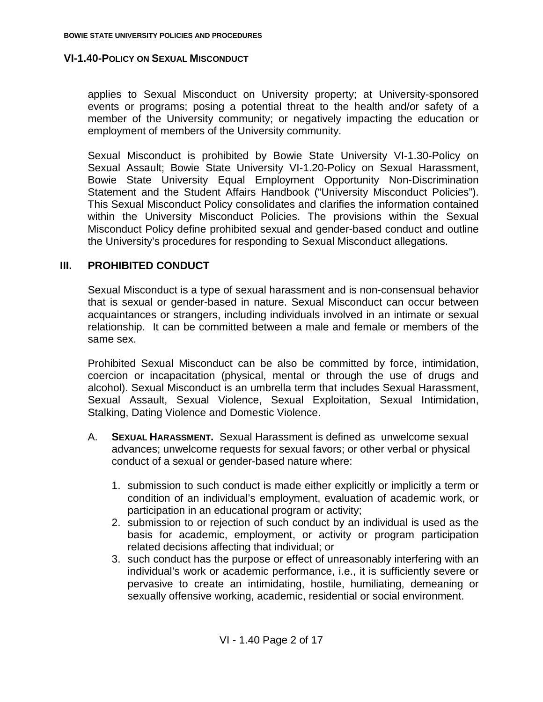applies to Sexual Misconduct on University property; at University-sponsored events or programs; posing a potential threat to the health and/or safety of a member of the University community; or negatively impacting the education or employment of members of the University community.

Sexual Misconduct is prohibited by Bowie State University VI-1.30-Policy on Sexual Assault; Bowie State University VI-1.20-Policy on Sexual Harassment, Bowie State University Equal Employment Opportunity Non-Discrimination Statement and the Student Affairs Handbook ("University Misconduct Policies"). This Sexual Misconduct Policy consolidates and clarifies the information contained within the University Misconduct Policies. The provisions within the Sexual Misconduct Policy define prohibited sexual and gender-based conduct and outline the University's procedures for responding to Sexual Misconduct allegations.

## **III. PROHIBITED CONDUCT**

Sexual Misconduct is a type of sexual harassment and is non-consensual behavior that is sexual or gender-based in nature. Sexual Misconduct can occur between acquaintances or strangers, including individuals involved in an intimate or sexual relationship. It can be committed between a male and female or members of the same sex.

Prohibited Sexual Misconduct can be also be committed by force, intimidation, coercion or incapacitation (physical, mental or through the use of drugs and alcohol). Sexual Misconduct is an umbrella term that includes Sexual Harassment, Sexual Assault, Sexual Violence, Sexual Exploitation, Sexual Intimidation, Stalking, Dating Violence and Domestic Violence.

- A. **SEXUAL HARASSMENT.** Sexual Harassment is defined as unwelcome sexual advances; unwelcome requests for sexual favors; or other verbal or physical conduct of a sexual or gender-based nature where:
	- 1. submission to such conduct is made either explicitly or implicitly a term or condition of an individual's employment, evaluation of academic work, or participation in an educational program or activity;
	- 2. submission to or rejection of such conduct by an individual is used as the basis for academic, employment, or activity or program participation related decisions affecting that individual; or
	- 3. such conduct has the purpose or effect of unreasonably interfering with an individual's work or academic performance, i.e., it is sufficiently severe or pervasive to create an intimidating, hostile, humiliating, demeaning or sexually offensive working, academic, residential or social environment.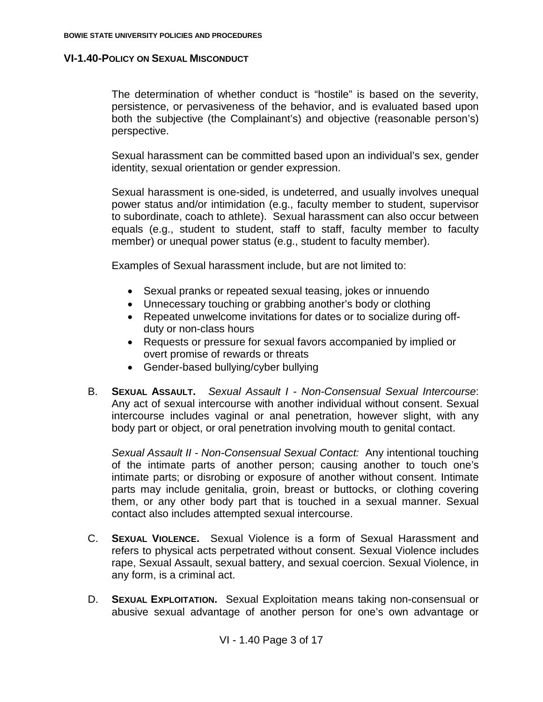The determination of whether conduct is "hostile" is based on the severity, persistence, or pervasiveness of the behavior, and is evaluated based upon both the subjective (the Complainant's) and objective (reasonable person's) perspective.

Sexual harassment can be committed based upon an individual's sex, gender identity, sexual orientation or gender expression.

Sexual harassment is one-sided, is undeterred, and usually involves unequal power status and/or intimidation (e.g., faculty member to student, supervisor to subordinate, coach to athlete). Sexual harassment can also occur between equals (e.g., student to student, staff to staff, faculty member to faculty member) or unequal power status (e.g., student to faculty member).

Examples of Sexual harassment include, but are not limited to:

- Sexual pranks or repeated sexual teasing, jokes or innuendo
- Unnecessary touching or grabbing another's body or clothing
- Repeated unwelcome invitations for dates or to socialize during offduty or non-class hours
- Requests or pressure for sexual favors accompanied by implied or overt promise of rewards or threats
- Gender-based bullying/cyber bullying
- B. **SEXUAL ASSAULT.** *Sexual Assault I - Non-Consensual Sexual Intercourse*: Any act of sexual intercourse with another individual without consent. Sexual intercourse includes vaginal or anal penetration, however slight, with any body part or object, or oral penetration involving mouth to genital contact.

*Sexual Assault II - Non-Consensual Sexual Contact:* Any intentional touching of the intimate parts of another person; causing another to touch one's intimate parts; or disrobing or exposure of another without consent. Intimate parts may include genitalia, groin, breast or buttocks, or clothing covering them, or any other body part that is touched in a sexual manner. Sexual contact also includes attempted sexual intercourse.

- C. **SEXUAL VIOLENCE.** Sexual Violence is a form of Sexual Harassment and refers to physical acts perpetrated without consent. Sexual Violence includes rape, Sexual Assault, sexual battery, and sexual coercion. Sexual Violence, in any form, is a criminal act.
- D. **SEXUAL EXPLOITATION.** Sexual Exploitation means taking non-consensual or abusive sexual advantage of another person for one's own advantage or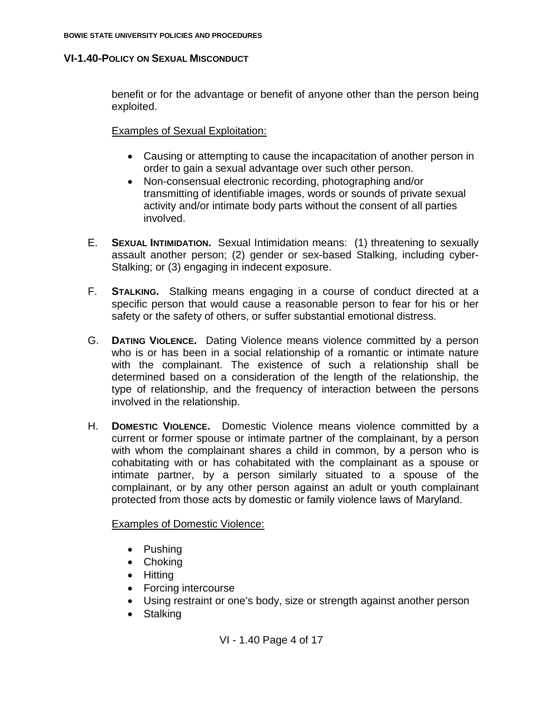benefit or for the advantage or benefit of anyone other than the person being exploited.

Examples of Sexual Exploitation:

- Causing or attempting to cause the incapacitation of another person in order to gain a sexual advantage over such other person.
- Non-consensual electronic recording, photographing and/or transmitting of identifiable images, words or sounds of private sexual activity and/or intimate body parts without the consent of all parties involved.
- E. **SEXUAL INTIMIDATION.** Sexual Intimidation means: (1) threatening to sexually assault another person; (2) gender or sex-based Stalking, including cyber-Stalking; or (3) engaging in indecent exposure.
- F. **STALKING.** Stalking means engaging in a course of conduct directed at a specific person that would cause a reasonable person to fear for his or her safety or the safety of others, or suffer substantial emotional distress.
- G. **DATING VIOLENCE.** Dating Violence means violence committed by a person who is or has been in a social relationship of a romantic or intimate nature with the complainant. The existence of such a relationship shall be determined based on a consideration of the length of the relationship, the type of relationship, and the frequency of interaction between the persons involved in the relationship.
- H. **DOMESTIC VIOLENCE.** Domestic Violence means violence committed by a current or former spouse or intimate partner of the complainant, by a person with whom the complainant shares a child in common, by a person who is cohabitating with or has cohabitated with the complainant as a spouse or intimate partner, by a person similarly situated to a spouse of the complainant, or by any other person against an adult or youth complainant protected from those acts by domestic or family violence laws of Maryland.

Examples of Domestic Violence:

- Pushing
- Choking
- Hitting
- Forcing intercourse
- Using restraint or one's body, size or strength against another person
- Stalking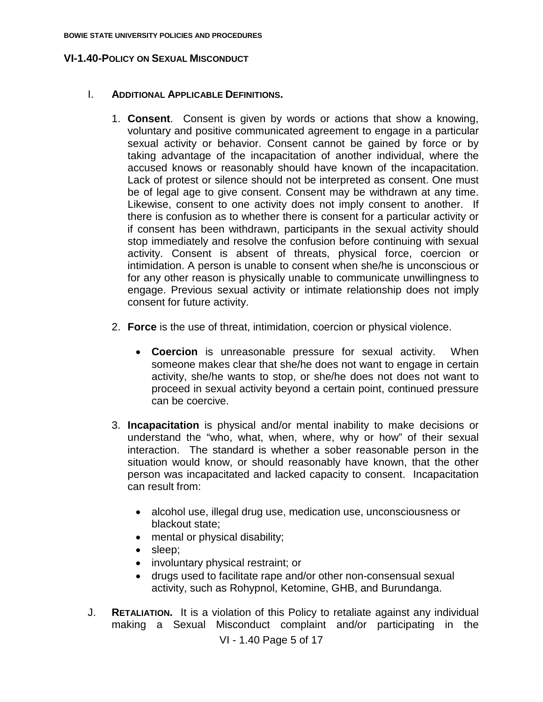### I. **ADDITIONAL APPLICABLE DEFINITIONS.**

- 1. **Consent**. Consent is given by words or actions that show a knowing, voluntary and positive communicated agreement to engage in a particular sexual activity or behavior. Consent cannot be gained by force or by taking advantage of the incapacitation of another individual, where the accused knows or reasonably should have known of the incapacitation. Lack of protest or silence should not be interpreted as consent. One must be of legal age to give consent. Consent may be withdrawn at any time. Likewise, consent to one activity does not imply consent to another. If there is confusion as to whether there is consent for a particular activity or if consent has been withdrawn, participants in the sexual activity should stop immediately and resolve the confusion before continuing with sexual activity. Consent is absent of threats, physical force, coercion or intimidation. A person is unable to consent when she/he is unconscious or for any other reason is physically unable to communicate unwillingness to engage. Previous sexual activity or intimate relationship does not imply consent for future activity.
- 2. **Force** is the use of threat, intimidation, coercion or physical violence.
	- **Coercion** is unreasonable pressure for sexual activity. When someone makes clear that she/he does not want to engage in certain activity, she/he wants to stop, or she/he does not does not want to proceed in sexual activity beyond a certain point, continued pressure can be coercive.
- 3. **Incapacitation** is physical and/or mental inability to make decisions or understand the "who, what, when, where, why or how" of their sexual interaction. The standard is whether a sober reasonable person in the situation would know, or should reasonably have known, that the other person was incapacitated and lacked capacity to consent. Incapacitation can result from:
	- alcohol use, illegal drug use, medication use, unconsciousness or blackout state;
	- mental or physical disability;
	- sleep;
	- involuntary physical restraint; or
	- drugs used to facilitate rape and/or other non-consensual sexual activity, such as Rohypnol, Ketomine, GHB, and Burundanga.
- J. **RETALIATION.** It is a violation of this Policy to retaliate against any individual making a Sexual Misconduct complaint and/or participating in the

VI - 1.40 Page 5 of 17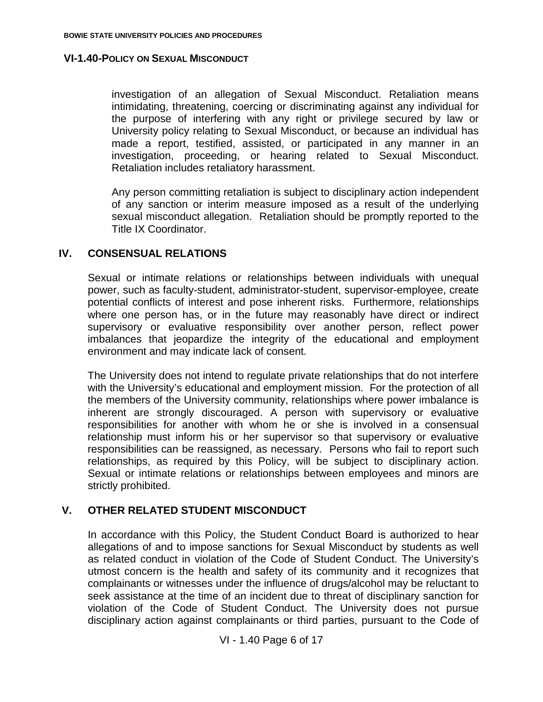investigation of an allegation of Sexual Misconduct. Retaliation means intimidating, threatening, coercing or discriminating against any individual for the purpose of interfering with any right or privilege secured by law or University policy relating to Sexual Misconduct, or because an individual has made a report, testified, assisted, or participated in any manner in an investigation, proceeding, or hearing related to Sexual Misconduct. Retaliation includes retaliatory harassment.

Any person committing retaliation is subject to disciplinary action independent of any sanction or interim measure imposed as a result of the underlying sexual misconduct allegation. Retaliation should be promptly reported to the Title IX Coordinator.

### **IV. CONSENSUAL RELATIONS**

Sexual or intimate relations or relationships between individuals with unequal power, such as faculty-student, administrator-student, supervisor-employee, create potential conflicts of interest and pose inherent risks. Furthermore, relationships where one person has, or in the future may reasonably have direct or indirect supervisory or evaluative responsibility over another person, reflect power imbalances that jeopardize the integrity of the educational and employment environment and may indicate lack of consent.

The University does not intend to regulate private relationships that do not interfere with the University's educational and employment mission. For the protection of all the members of the University community, relationships where power imbalance is inherent are strongly discouraged. A person with supervisory or evaluative responsibilities for another with whom he or she is involved in a consensual relationship must inform his or her supervisor so that supervisory or evaluative responsibilities can be reassigned, as necessary. Persons who fail to report such relationships, as required by this Policy, will be subject to disciplinary action. Sexual or intimate relations or relationships between employees and minors are strictly prohibited.

## **V. OTHER RELATED STUDENT MISCONDUCT**

In accordance with this Policy, the Student Conduct Board is authorized to hear allegations of and to impose sanctions for Sexual Misconduct by students as well as related conduct in violation of the Code of Student Conduct. The University's utmost concern is the health and safety of its community and it recognizes that complainants or witnesses under the influence of drugs/alcohol may be reluctant to seek assistance at the time of an incident due to threat of disciplinary sanction for violation of the Code of Student Conduct. The University does not pursue disciplinary action against complainants or third parties, pursuant to the Code of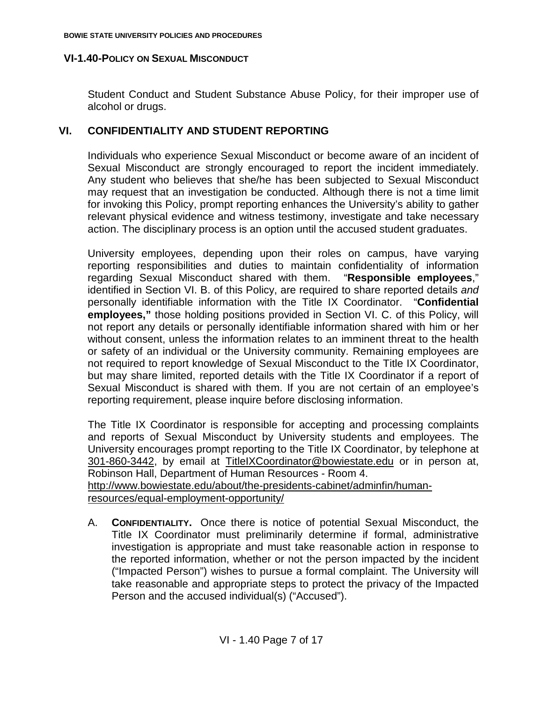Student Conduct and Student Substance Abuse Policy, for their improper use of alcohol or drugs.

# **VI. CONFIDENTIALITY AND STUDENT REPORTING**

Individuals who experience Sexual Misconduct or become aware of an incident of Sexual Misconduct are strongly encouraged to report the incident immediately. Any student who believes that she/he has been subjected to Sexual Misconduct may request that an investigation be conducted. Although there is not a time limit for invoking this Policy, prompt reporting enhances the University's ability to gather relevant physical evidence and witness testimony, investigate and take necessary action. The disciplinary process is an option until the accused student graduates.

University employees, depending upon their roles on campus, have varying reporting responsibilities and duties to maintain confidentiality of information regarding Sexual Misconduct shared with them. "**Responsible employees**," identified in Section VI. B. of this Policy, are required to share reported details *and*  personally identifiable information with the Title IX Coordinator. "**Confidential employees,"** those holding positions provided in Section VI. C. of this Policy, will not report any details or personally identifiable information shared with him or her without consent, unless the information relates to an imminent threat to the health or safety of an individual or the University community. Remaining employees are not required to report knowledge of Sexual Misconduct to the Title IX Coordinator, but may share limited, reported details with the Title IX Coordinator if a report of Sexual Misconduct is shared with them. If you are not certain of an employee's reporting requirement, please inquire before disclosing information.

The Title IX Coordinator is responsible for accepting and processing complaints and reports of Sexual Misconduct by University students and employees. The University encourages prompt reporting to the Title IX Coordinator, by telephone at 301-860-3442, by email at TitleIXCoordinator@bowiestate.edu or in person at, Robinson Hall, Department of Human Resources - Room 4.

[http://www.bowiestate.edu/about/the-presidents-cabinet/adminfin/human](http://www.bowiestate.edu/about/the-presidents-cabinet/adminfin/human-resources/equal-employment-opportunity/)[resources/equal-employment-opportunity/](http://www.bowiestate.edu/about/the-presidents-cabinet/adminfin/human-resources/equal-employment-opportunity/)

A. **CONFIDENTIALITY.** Once there is notice of potential Sexual Misconduct, the Title IX Coordinator must preliminarily determine if formal, administrative investigation is appropriate and must take reasonable action in response to the reported information, whether or not the person impacted by the incident ("Impacted Person") wishes to pursue a formal complaint. The University will take reasonable and appropriate steps to protect the privacy of the Impacted Person and the accused individual(s) ("Accused").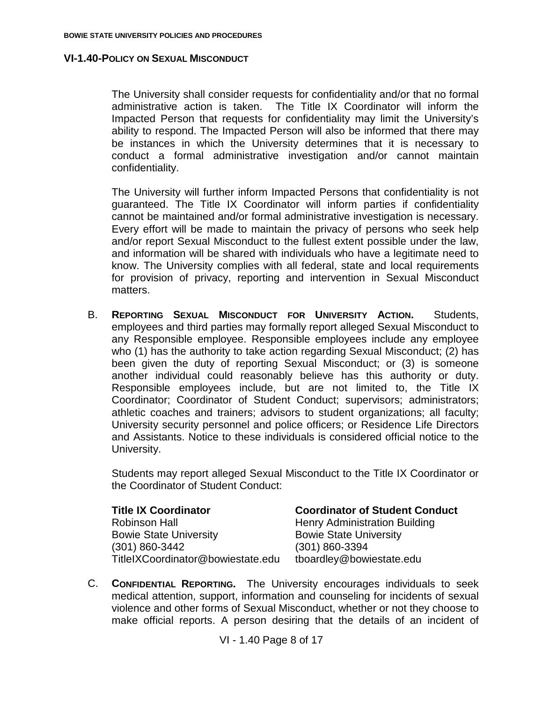The University shall consider requests for confidentiality and/or that no formal administrative action is taken. The Title IX Coordinator will inform the Impacted Person that requests for confidentiality may limit the University's ability to respond. The Impacted Person will also be informed that there may be instances in which the University determines that it is necessary to conduct a formal administrative investigation and/or cannot maintain confidentiality.

The University will further inform Impacted Persons that confidentiality is not guaranteed. The Title IX Coordinator will inform parties if confidentiality cannot be maintained and/or formal administrative investigation is necessary. Every effort will be made to maintain the privacy of persons who seek help and/or report Sexual Misconduct to the fullest extent possible under the law, and information will be shared with individuals who have a legitimate need to know. The University complies with all federal, state and local requirements for provision of privacy, reporting and intervention in Sexual Misconduct matters.

B. **REPORTING SEXUAL MISCONDUCT FOR UNIVERSITY ACTION.** Students, employees and third parties may formally report alleged Sexual Misconduct to any Responsible employee. Responsible employees include any employee who (1) has the authority to take action regarding Sexual Misconduct; (2) has been given the duty of reporting Sexual Misconduct; or (3) is someone another individual could reasonably believe has this authority or duty. Responsible employees include, but are not limited to, the Title IX Coordinator; Coordinator of Student Conduct; supervisors; administrators; athletic coaches and trainers; advisors to student organizations; all faculty; University security personnel and police officers; or Residence Life Directors and Assistants. Notice to these individuals is considered official notice to the University.

Students may report alleged Sexual Misconduct to the Title IX Coordinator or the Coordinator of Student Conduct:

| <b>Title IX Coordinator</b>       | <b>Coordinator of Student Conduct</b> |
|-----------------------------------|---------------------------------------|
| <b>Robinson Hall</b>              | <b>Henry Administration Building</b>  |
| <b>Bowie State University</b>     | <b>Bowie State University</b>         |
| $(301) 860 - 3442$                | $(301) 860 - 3394$                    |
| TitleIXCoordinator@bowiestate.edu | tboardley@bowiestate.edu              |
|                                   |                                       |

C. **CONFIDENTIAL REPORTING.** The University encourages individuals to seek medical attention, support, information and counseling for incidents of sexual violence and other forms of Sexual Misconduct, whether or not they choose to make official reports. A person desiring that the details of an incident of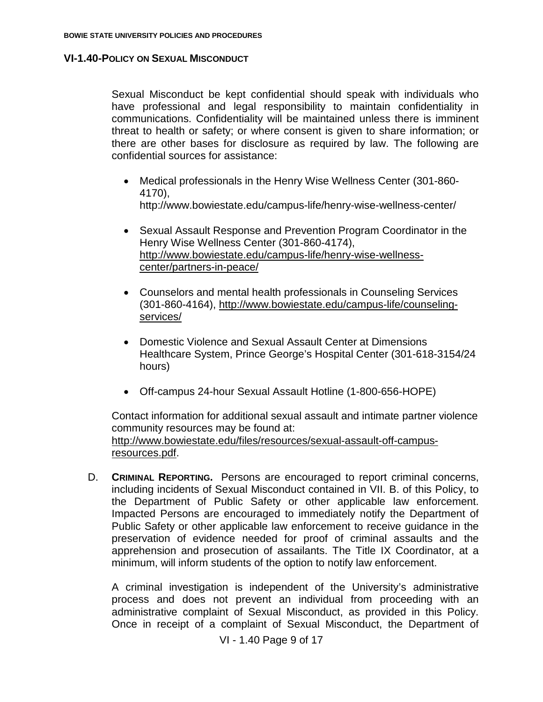Sexual Misconduct be kept confidential should speak with individuals who have professional and legal responsibility to maintain confidentiality in communications. Confidentiality will be maintained unless there is imminent threat to health or safety; or where consent is given to share information; or there are other bases for disclosure as required by law. The following are confidential sources for assistance:

- Medical professionals in the Henry Wise Wellness Center (301-860- 4170), http://www.bowiestate.edu/campus-life/henry-wise-wellness-center/
- Sexual Assault Response and Prevention Program Coordinator in the Henry Wise Wellness Center (301-860-4174), [http://www.bowiestate.edu/campus-life/henry-wise-wellness](http://www.bowiestate.edu/campus-life/henry-wise-wellness-center/partners-in-peace/)[center/partners-in-peace/](http://www.bowiestate.edu/campus-life/henry-wise-wellness-center/partners-in-peace/)
- Counselors and mental health professionals in Counseling Services (301-860-4164), [http://www.bowiestate.edu/campus-life/counseling](http://www.bowiestate.edu/campus-life/counseling-services/)[services/](http://www.bowiestate.edu/campus-life/counseling-services/)
- Domestic Violence and Sexual Assault Center at Dimensions Healthcare System, Prince George's Hospital Center (301-618-3154/24 hours)
- Off-campus 24-hour Sexual Assault Hotline (1-800-656-HOPE)

Contact information for additional sexual assault and intimate partner violence community resources may be found at: [http://www.bowiestate.edu/files/resources/sexual-assault-off-campus](http://www.bowiestate.edu/files/resources/sexual-assault-off-campus-resources.pdf)[resources.pdf.](http://www.bowiestate.edu/files/resources/sexual-assault-off-campus-resources.pdf)

D. **CRIMINAL REPORTING.** Persons are encouraged to report criminal concerns, including incidents of Sexual Misconduct contained in VII. B. of this Policy, to the Department of Public Safety or other applicable law enforcement. Impacted Persons are encouraged to immediately notify the Department of Public Safety or other applicable law enforcement to receive guidance in the preservation of evidence needed for proof of criminal assaults and the apprehension and prosecution of assailants. The Title IX Coordinator, at a minimum, will inform students of the option to notify law enforcement.

A criminal investigation is independent of the University's administrative process and does not prevent an individual from proceeding with an administrative complaint of Sexual Misconduct, as provided in this Policy. Once in receipt of a complaint of Sexual Misconduct, the Department of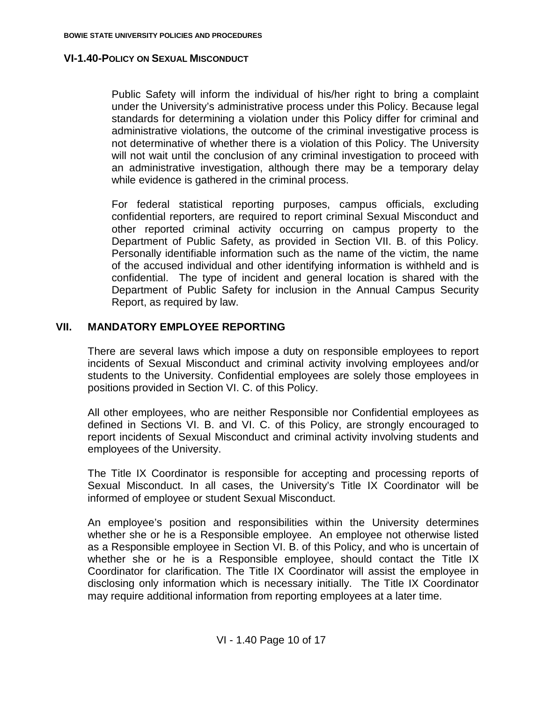Public Safety will inform the individual of his/her right to bring a complaint under the University's administrative process under this Policy. Because legal standards for determining a violation under this Policy differ for criminal and administrative violations, the outcome of the criminal investigative process is not determinative of whether there is a violation of this Policy. The University will not wait until the conclusion of any criminal investigation to proceed with an administrative investigation, although there may be a temporary delay while evidence is gathered in the criminal process.

For federal statistical reporting purposes, campus officials, excluding confidential reporters, are required to report criminal Sexual Misconduct and other reported criminal activity occurring on campus property to the Department of Public Safety, as provided in Section VII. B. of this Policy. Personally identifiable information such as the name of the victim, the name of the accused individual and other identifying information is withheld and is confidential. The type of incident and general location is shared with the Department of Public Safety for inclusion in the Annual Campus Security Report, as required by law.

## **VII. MANDATORY EMPLOYEE REPORTING**

There are several laws which impose a duty on responsible employees to report incidents of Sexual Misconduct and criminal activity involving employees and/or students to the University. Confidential employees are solely those employees in positions provided in Section VI. C. of this Policy.

All other employees, who are neither Responsible nor Confidential employees as defined in Sections VI. B. and VI. C. of this Policy, are strongly encouraged to report incidents of Sexual Misconduct and criminal activity involving students and employees of the University.

The Title IX Coordinator is responsible for accepting and processing reports of Sexual Misconduct. In all cases, the University's Title IX Coordinator will be informed of employee or student Sexual Misconduct.

An employee's position and responsibilities within the University determines whether she or he is a Responsible employee. An employee not otherwise listed as a Responsible employee in Section VI. B. of this Policy, and who is uncertain of whether she or he is a Responsible employee, should contact the Title IX Coordinator for clarification. The Title IX Coordinator will assist the employee in disclosing only information which is necessary initially. The Title IX Coordinator may require additional information from reporting employees at a later time.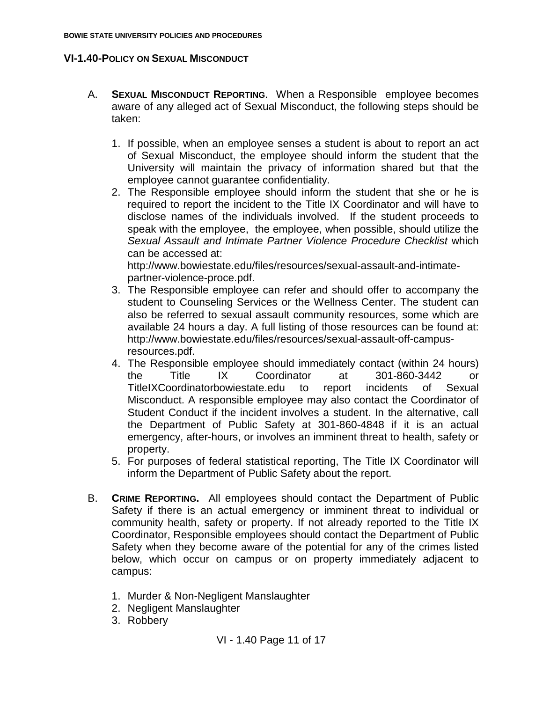- A. **SEXUAL MISCONDUCT REPORTING**. When a Responsible employee becomes aware of any alleged act of Sexual Misconduct, the following steps should be taken:
	- 1. If possible, when an employee senses a student is about to report an act of Sexual Misconduct, the employee should inform the student that the University will maintain the privacy of information shared but that the employee cannot guarantee confidentiality.
	- 2. The Responsible employee should inform the student that she or he is required to report the incident to the Title IX Coordinator and will have to disclose names of the individuals involved. If the student proceeds to speak with the employee, the employee, when possible, should utilize the *Sexual Assault and Intimate Partner Violence Procedure Checklist* which can be accessed at:

http://www.bowiestate.edu/files/resources/sexual-assault-and-intimatepartner-violence-proce.pdf.

- 3. The Responsible employee can refer and should offer to accompany the student to Counseling Services or the Wellness Center. The student can also be referred to sexual assault community resources, some which are available 24 hours a day. A full listing of those resources can be found at: http://www.bowiestate.edu/files/resources/sexual-assault-off-campusresources.pdf.
- 4. The Responsible employee should immediately contact (within 24 hours) the Title IX Coordinator at 301-860-3442 or TitleIXCoordinatorbowiestate.edu to report incidents of Sexual Misconduct. A responsible employee may also contact the Coordinator of Student Conduct if the incident involves a student. In the alternative, call the Department of Public Safety at 301-860-4848 if it is an actual emergency, after-hours, or involves an imminent threat to health, safety or property.
- 5. For purposes of federal statistical reporting, The Title IX Coordinator will inform the Department of Public Safety about the report.
- B. **CRIME REPORTING.** All employees should contact the Department of Public Safety if there is an actual emergency or imminent threat to individual or community health, safety or property. If not already reported to the Title IX Coordinator, Responsible employees should contact the Department of Public Safety when they become aware of the potential for any of the crimes listed below, which occur on campus or on property immediately adjacent to campus:
	- 1. Murder & Non-Negligent Manslaughter
	- 2. Negligent Manslaughter
	- 3. Robbery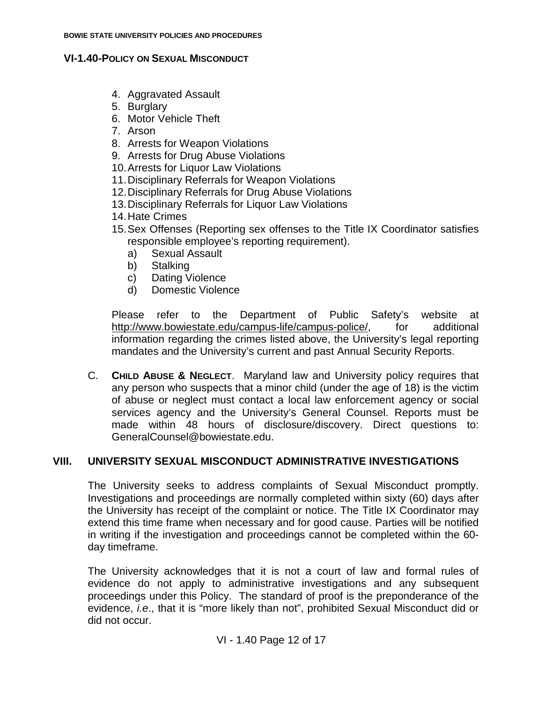- 4. Aggravated Assault
- 5. Burglary
- 6. Motor Vehicle Theft
- 7. Arson
- 8. Arrests for Weapon Violations
- 9. Arrests for Drug Abuse Violations
- 10.Arrests for Liquor Law Violations
- 11.Disciplinary Referrals for Weapon Violations
- 12.Disciplinary Referrals for Drug Abuse Violations
- 13.Disciplinary Referrals for Liquor Law Violations
- 14.Hate Crimes
- 15.Sex Offenses (Reporting sex offenses to the Title IX Coordinator satisfies responsible employee's reporting requirement).
	- a) Sexual Assault
	- b) Stalking
	- c) Dating Violence
	- d) Domestic Violence

Please refer to the Department of Public Safety's website at [http://www.bowiestate.edu/campus-life/campus-police/,](http://www.bowiestate.edu/campus-life/campus-police/) for additional information regarding the crimes listed above, the University's legal reporting mandates and the University's current and past Annual Security Reports.

C. **CHILD ABUSE & NEGLECT**. Maryland law and University policy requires that any person who suspects that a minor child (under the age of 18) is the victim of abuse or neglect must contact a local law enforcement agency or social services agency and the University's General Counsel. Reports must be made within 48 hours of disclosure/discovery. Direct questions to: GeneralCounsel@bowiestate.edu.

# **VIII. UNIVERSITY SEXUAL MISCONDUCT ADMINISTRATIVE INVESTIGATIONS**

The University seeks to address complaints of Sexual Misconduct promptly. Investigations and proceedings are normally completed within sixty (60) days after the University has receipt of the complaint or notice. The Title IX Coordinator may extend this time frame when necessary and for good cause. Parties will be notified in writing if the investigation and proceedings cannot be completed within the 60 day timeframe.

The University acknowledges that it is not a court of law and formal rules of evidence do not apply to administrative investigations and any subsequent proceedings under this Policy. The standard of proof is the preponderance of the evidence, *i.e*., that it is "more likely than not", prohibited Sexual Misconduct did or did not occur.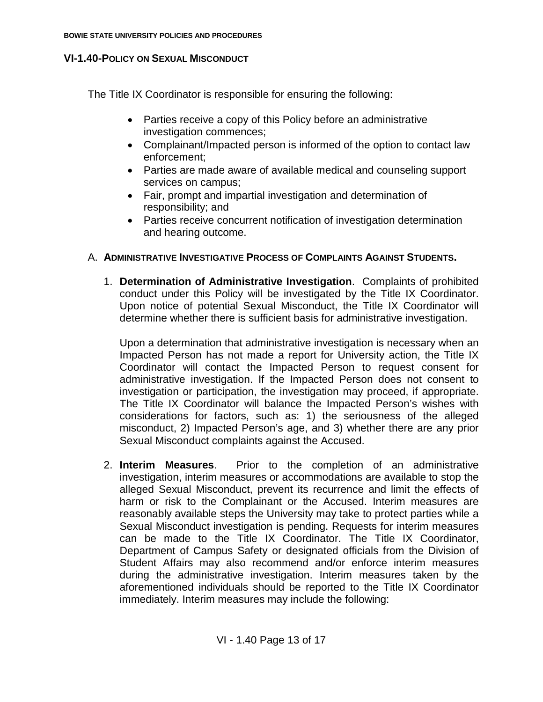The Title IX Coordinator is responsible for ensuring the following:

- Parties receive a copy of this Policy before an administrative investigation commences;
- Complainant/Impacted person is informed of the option to contact law enforcement;
- Parties are made aware of available medical and counseling support services on campus;
- Fair, prompt and impartial investigation and determination of responsibility; and
- Parties receive concurrent notification of investigation determination and hearing outcome.

## A. **ADMINISTRATIVE INVESTIGATIVE PROCESS OF COMPLAINTS AGAINST STUDENTS.**

1. **Determination of Administrative Investigation**. Complaints of prohibited conduct under this Policy will be investigated by the Title IX Coordinator. Upon notice of potential Sexual Misconduct, the Title IX Coordinator will determine whether there is sufficient basis for administrative investigation.

Upon a determination that administrative investigation is necessary when an Impacted Person has not made a report for University action, the Title IX Coordinator will contact the Impacted Person to request consent for administrative investigation. If the Impacted Person does not consent to investigation or participation, the investigation may proceed, if appropriate. The Title IX Coordinator will balance the Impacted Person's wishes with considerations for factors, such as: 1) the seriousness of the alleged misconduct, 2) Impacted Person's age, and 3) whether there are any prior Sexual Misconduct complaints against the Accused.

2. **Interim Measures**. Prior to the completion of an administrative investigation, interim measures or accommodations are available to stop the alleged Sexual Misconduct, prevent its recurrence and limit the effects of harm or risk to the Complainant or the Accused. Interim measures are reasonably available steps the University may take to protect parties while a Sexual Misconduct investigation is pending. Requests for interim measures can be made to the Title IX Coordinator. The Title IX Coordinator, Department of Campus Safety or designated officials from the Division of Student Affairs may also recommend and/or enforce interim measures during the administrative investigation. Interim measures taken by the aforementioned individuals should be reported to the Title IX Coordinator immediately. Interim measures may include the following: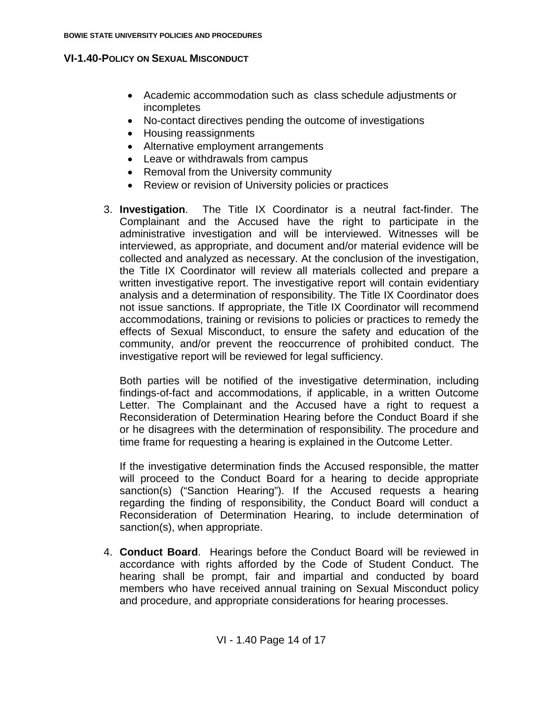- Academic accommodation such as class schedule adjustments or incompletes
- No-contact directives pending the outcome of investigations
- Housing reassignments
- Alternative employment arrangements
- Leave or withdrawals from campus
- Removal from the University community
- Review or revision of University policies or practices
- 3. **Investigation**. The Title IX Coordinator is a neutral fact-finder. The Complainant and the Accused have the right to participate in the administrative investigation and will be interviewed. Witnesses will be interviewed, as appropriate, and document and/or material evidence will be collected and analyzed as necessary. At the conclusion of the investigation, the Title IX Coordinator will review all materials collected and prepare a written investigative report. The investigative report will contain evidentiary analysis and a determination of responsibility. The Title IX Coordinator does not issue sanctions. If appropriate, the Title IX Coordinator will recommend accommodations, training or revisions to policies or practices to remedy the effects of Sexual Misconduct, to ensure the safety and education of the community, and/or prevent the reoccurrence of prohibited conduct. The investigative report will be reviewed for legal sufficiency.

Both parties will be notified of the investigative determination, including findings-of-fact and accommodations, if applicable, in a written Outcome Letter. The Complainant and the Accused have a right to request a Reconsideration of Determination Hearing before the Conduct Board if she or he disagrees with the determination of responsibility. The procedure and time frame for requesting a hearing is explained in the Outcome Letter.

If the investigative determination finds the Accused responsible, the matter will proceed to the Conduct Board for a hearing to decide appropriate sanction(s) ("Sanction Hearing"). If the Accused requests a hearing regarding the finding of responsibility, the Conduct Board will conduct a Reconsideration of Determination Hearing, to include determination of sanction(s), when appropriate.

4. **Conduct Board**. Hearings before the Conduct Board will be reviewed in accordance with rights afforded by the Code of Student Conduct. The hearing shall be prompt, fair and impartial and conducted by board members who have received annual training on Sexual Misconduct policy and procedure, and appropriate considerations for hearing processes.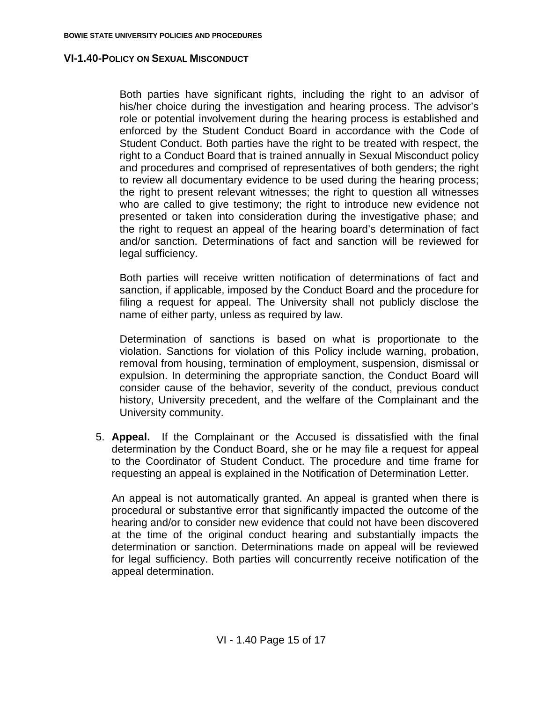Both parties have significant rights, including the right to an advisor of his/her choice during the investigation and hearing process. The advisor's role or potential involvement during the hearing process is established and enforced by the Student Conduct Board in accordance with the Code of Student Conduct. Both parties have the right to be treated with respect, the right to a Conduct Board that is trained annually in Sexual Misconduct policy and procedures and comprised of representatives of both genders; the right to review all documentary evidence to be used during the hearing process; the right to present relevant witnesses; the right to question all witnesses who are called to give testimony; the right to introduce new evidence not presented or taken into consideration during the investigative phase; and the right to request an appeal of the hearing board's determination of fact and/or sanction. Determinations of fact and sanction will be reviewed for legal sufficiency.

Both parties will receive written notification of determinations of fact and sanction, if applicable, imposed by the Conduct Board and the procedure for filing a request for appeal. The University shall not publicly disclose the name of either party, unless as required by law.

Determination of sanctions is based on what is proportionate to the violation. Sanctions for violation of this Policy include warning, probation, removal from housing, termination of employment, suspension, dismissal or expulsion. In determining the appropriate sanction, the Conduct Board will consider cause of the behavior, severity of the conduct, previous conduct history, University precedent, and the welfare of the Complainant and the University community.

5. **Appeal.** If the Complainant or the Accused is dissatisfied with the final determination by the Conduct Board, she or he may file a request for appeal to the Coordinator of Student Conduct. The procedure and time frame for requesting an appeal is explained in the Notification of Determination Letter.

An appeal is not automatically granted. An appeal is granted when there is procedural or substantive error that significantly impacted the outcome of the hearing and/or to consider new evidence that could not have been discovered at the time of the original conduct hearing and substantially impacts the determination or sanction. Determinations made on appeal will be reviewed for legal sufficiency. Both parties will concurrently receive notification of the appeal determination.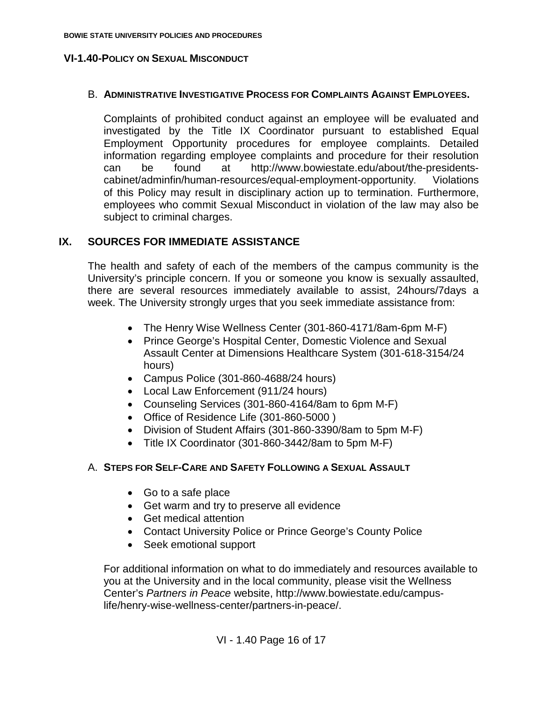### B. **ADMINISTRATIVE INVESTIGATIVE PROCESS FOR COMPLAINTS AGAINST EMPLOYEES.**

Complaints of prohibited conduct against an employee will be evaluated and investigated by the Title IX Coordinator pursuant to established Equal Employment Opportunity procedures for employee complaints. Detailed information regarding employee complaints and procedure for their resolution can be found at http://www.bowiestate.edu/about/the-presidentscabinet/adminfin/human-resources/equal-employment-opportunity. Violations of this Policy may result in disciplinary action up to termination. Furthermore, employees who commit Sexual Misconduct in violation of the law may also be subject to criminal charges.

## **IX. SOURCES FOR IMMEDIATE ASSISTANCE**

The health and safety of each of the members of the campus community is the University's principle concern. If you or someone you know is sexually assaulted, there are several resources immediately available to assist, 24hours/7days a week. The University strongly urges that you seek immediate assistance from:

- The Henry Wise Wellness Center (301-860-4171/8am-6pm M-F)
- Prince George's Hospital Center, Domestic Violence and Sexual Assault Center at Dimensions Healthcare System (301-618-3154/24 hours)
- Campus Police (301-860-4688/24 hours)
- Local Law Enforcement (911/24 hours)
- Counseling Services (301-860-4164/8am to 6pm M-F)
- Office of Residence Life (301-860-5000 )
- Division of Student Affairs (301-860-3390/8am to 5pm M-F)
- Title IX Coordinator (301-860-3442/8am to 5pm M-F)

## A. **STEPS FOR SELF-CARE AND SAFETY FOLLOWING A SEXUAL ASSAULT**

- Go to a safe place
- Get warm and try to preserve all evidence
- Get medical attention
- Contact University Police or Prince George's County Police
- Seek emotional support

For additional information on what to do immediately and resources available to you at the University and in the local community, please visit the Wellness Center's *Partners in Peace* website, http://www.bowiestate.edu/campuslife/henry-wise-wellness-center/partners-in-peace/.